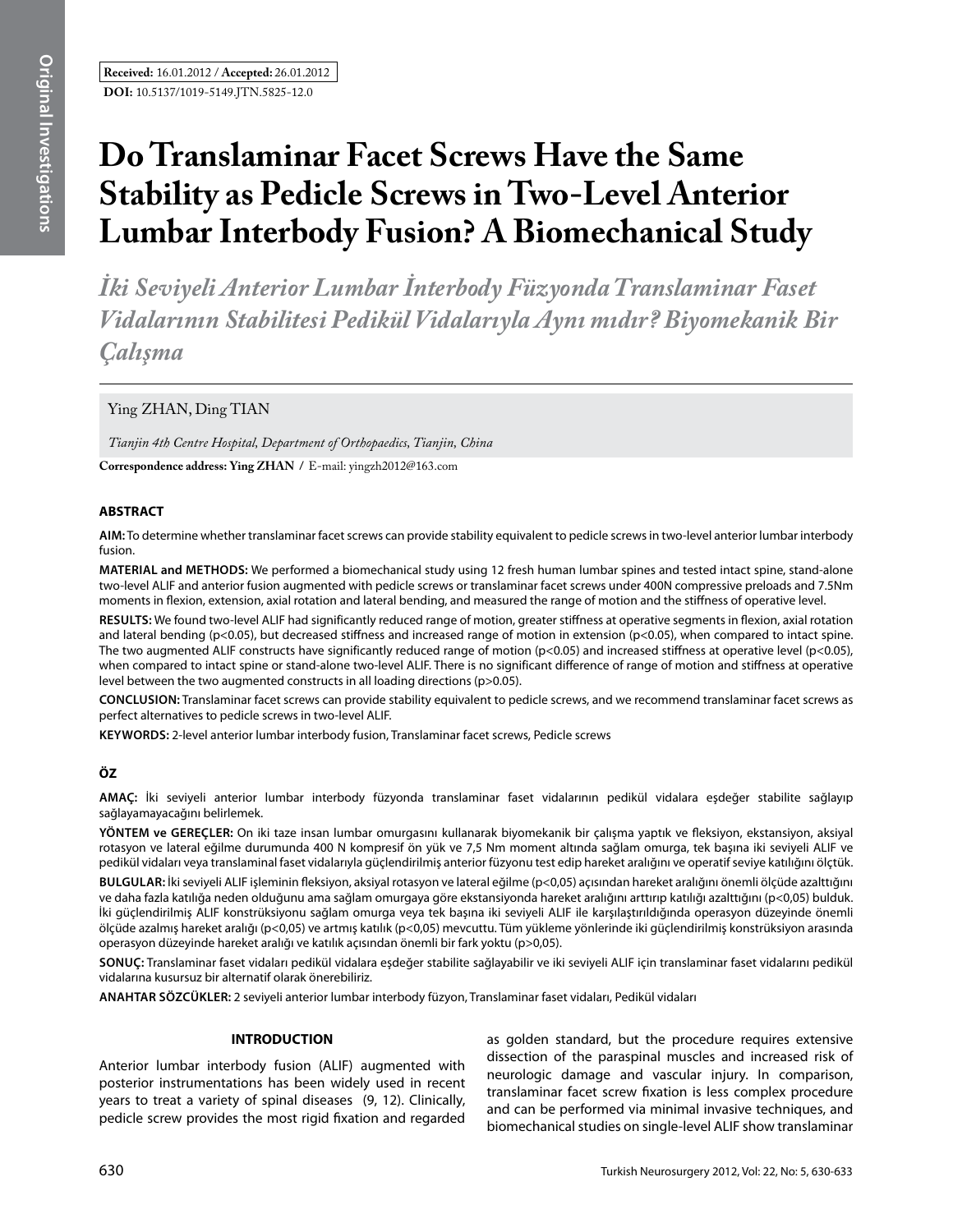# **Do Translaminar Facet Screws Have the Same Stability as Pedicle Screws in Two-Level Anterior Lumbar Interbody Fusion? A Biomechanical Study**

*İki Seviyeli Anterior Lumbar İnterbody Füzyonda Translaminar Faset Vidalarının Stabilitesi Pedikül Vidalarıyla Aynı mıdır? Biyomekanik Bir Çalışma* 

## Ying ZHAN, Ding TIAN

*Tianjin 4th Centre Hospital, Department of Orthopaedics, Tianjin, China*

**Correspondence address: Ying ZHAN /** E-mail: yingzh2012@163.com

## **ABSTRACT**

**AIm:** To determine whether translaminar facet screws can provide stability equivalent to pedicle screws in two-level anterior lumbar interbody fusion.

**MaterIal and Methods:** We performed a biomechanical study using 12 fresh human lumbar spines and tested intact spine, stand-alone two-level ALIF and anterior fusion augmented with pedicle screws or translaminar facet screws under 400N compressive preloads and 7.5Nm moments in flexion, extension, axial rotation and lateral bending, and measured the range of motion and the stiffness of operative level.

**Results:** We found two-level ALIF had significantly reduced range of motion, greater stiffness at operative segments in flexion, axial rotation and lateral bending (p<0.05), but decreased stiffness and increased range of motion in extension (p<0.05), when compared to intact spine. The two augmented ALIF constructs have significantly reduced range of motion (p<0.05) and increased stiffness at operative level (p<0.05), when compared to intact spine or stand-alone two-level ALIF. There is no significant difference of range of motion and stiffness at operative level between the two augmented constructs in all loading directions (p>0.05).

**ConclusIon:** Translaminar facet screws can provide stability equivalent to pedicle screws, and we recommend translaminar facet screws as perfect alternatives to pedicle screws in two-level ALIF.

**Keywords:** 2-level anterior lumbar interbody fusion, Translaminar facet screws, Pedicle screws

## **ÖZ**

**AMAÇ:** İki seviyeli anterior lumbar interbody füzyonda translaminar faset vidalarının pedikül vidalara eşdeğer stabilite sağlayıp sağlayamayacağını belirlemek.

**YÖNTEM ve GEREÇLER:** On iki taze insan lumbar omurgasını kullanarak biyomekanik bir çalışma yaptık ve fleksiyon, ekstansiyon, aksiyal rotasyon ve lateral eğilme durumunda 400 N kompresif ön yük ve 7,5 Nm moment altında sağlam omurga, tek başına iki seviyeli ALIF ve pedikül vidaları veya translaminal faset vidalarıyla güçlendirilmiş anterior füzyonu test edip hareket aralığını ve operatif seviye katılığını ölçtük.

**BULGULAR:** İki seviyeli ALIF işleminin fleksiyon, aksiyal rotasyon ve lateral eğilme (p<0,05) açısından hareket aralığını önemli ölçüde azalttığını ve daha fazla katılığa neden olduğunu ama sağlam omurgaya göre ekstansiyonda hareket aralığını arttırıp katılığı azalttığını (p<0,05) bulduk. İki güçlendirilmiş ALIF konstrüksiyonu sağlam omurga veya tek başına iki seviyeli ALIF ile karşılaştırıldığında operasyon düzeyinde önemli ölçüde azalmış hareket aralığı (p<0,05) ve artmış katılık (p<0,05) mevcuttu. Tüm yükleme yönlerinde iki güçlendirilmiş konstrüksiyon arasında operasyon düzeyinde hareket aralığı ve katılık açısından önemli bir fark yoktu (p>0,05).

**SONUÇ:** Translaminar faset vidaları pedikül vidalara eşdeğer stabilite sağlayabilir ve iki seviyeli ALIF için translaminar faset vidalarını pedikül vidalarına kusursuz bir alternatif olarak önerebiliriz.

**ANAHTAR SÖZCÜKLER:** 2 seviyeli anterior lumbar interbody füzyon, Translaminar faset vidaları, Pedikül vidaları

### **INTRODUCTION**

Anterior lumbar interbody fusion (ALIF) augmented with posterior instrumentations has been widely used in recent years to treat a variety of spinal diseases (9, 12). Clinically, pedicle screw provides the most rigid fixation and regarded

as golden standard, but the procedure requires extensive dissection of the paraspinal muscles and increased risk of neurologic damage and vascular injury. In comparison, translaminar facet screw fixation is less complex procedure and can be performed via minimal invasive techniques, and biomechanical studies on single-level ALIF show translaminar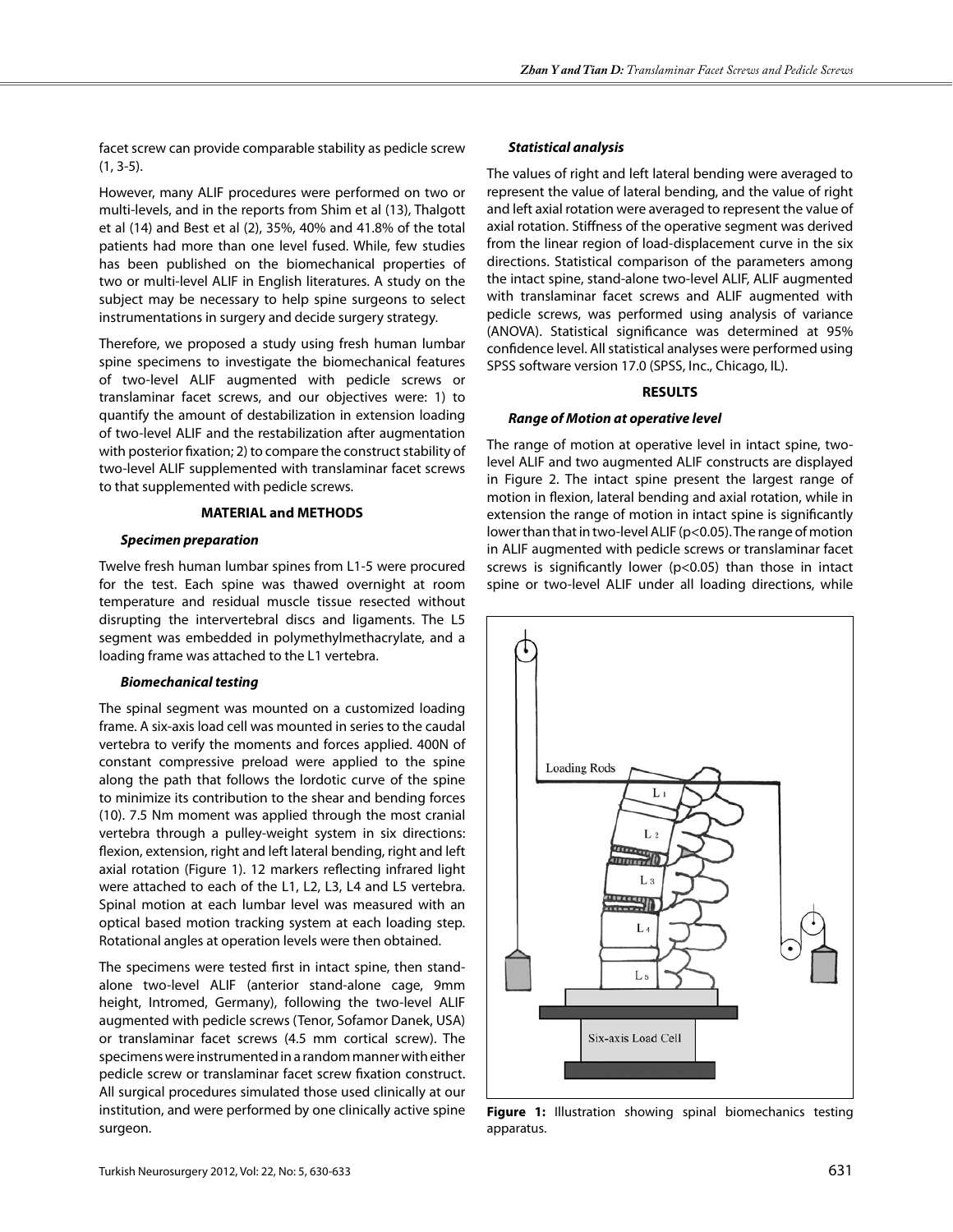facet screw can provide comparable stability as pedicle screw (1, 3-5).

However, many ALIF procedures were performed on two or multi-levels, and in the reports from Shim et al (13), Thalgott et al (14) and Best et al (2), 35%, 40% and 41.8% of the total patients had more than one level fused. While, few studies has been published on the biomechanical properties of two or multi-level ALIF in English literatures. A study on the subject may be necessary to help spine surgeons to select instrumentations in surgery and decide surgery strategy.

Therefore, we proposed a study using fresh human lumbar spine specimens to investigate the biomechanical features of two-level ALIF augmented with pedicle screws or translaminar facet screws, and our objectives were: 1) to quantify the amount of destabilization in extension loading of two-level ALIF and the restabilization after augmentation with posterior fixation; 2) to compare the construct stability of two-level ALIF supplemented with translaminar facet screws to that supplemented with pedicle screws.

#### **MATERIAL and METHODS**

#### *Specimen preparation*

Twelve fresh human lumbar spines from L1-5 were procured for the test. Each spine was thawed overnight at room temperature and residual muscle tissue resected without disrupting the intervertebral discs and ligaments. The L5 segment was embedded in polymethylmethacrylate, and a loading frame was attached to the L1 vertebra.

#### *Biomechanical testing*

The spinal segment was mounted on a customized loading frame. A six-axis load cell was mounted in series to the caudal vertebra to verify the moments and forces applied. 400N of constant compressive preload were applied to the spine along the path that follows the lordotic curve of the spine to minimize its contribution to the shear and bending forces (10). 7.5 Nm moment was applied through the most cranial vertebra through a pulley-weight system in six directions: flexion, extension, right and left lateral bending, right and left axial rotation (Figure 1). 12 markers reflecting infrared light were attached to each of the L1, L2, L3, L4 and L5 vertebra. Spinal motion at each lumbar level was measured with an optical based motion tracking system at each loading step. Rotational angles at operation levels were then obtained.

The specimens were tested first in intact spine, then standalone two-level ALIF (anterior stand-alone cage, 9mm height, Intromed, Germany), following the two-level ALIF augmented with pedicle screws (Tenor, Sofamor Danek, USA) or translaminar facet screws (4.5 mm cortical screw). The specimens were instrumented in a random manner with either pedicle screw or translaminar facet screw fixation construct. All surgical procedures simulated those used clinically at our institution, and were performed by one clinically active spine surgeon.

#### *Statistical analysis*

The values of right and left lateral bending were averaged to represent the value of lateral bending, and the value of right and left axial rotation were averaged to represent the value of axial rotation. Stiffness of the operative segment was derived from the linear region of load-displacement curve in the six directions. Statistical comparison of the parameters among the intact spine, stand-alone two-level ALIF, ALIF augmented with translaminar facet screws and ALIF augmented with pedicle screws, was performed using analysis of variance (ANOVA). Statistical significance was determined at 95% confidence level. All statistical analyses were performed using SPSS software version 17.0 (SPSS, Inc., Chicago, IL).

#### **RESULTS**

#### *Range of Motion at operative level*

The range of motion at operative level in intact spine, twolevel ALIF and two augmented ALIF constructs are displayed in Figure 2. The intact spine present the largest range of motion in flexion, lateral bending and axial rotation, while in extension the range of motion in intact spine is significantly lower than that in two-level ALIF (p<0.05). The range of motion in ALIF augmented with pedicle screws or translaminar facet screws is significantly lower (p<0.05) than those in intact spine or two-level ALIF under all loading directions, while



**Figure 1:** Illustration showing spinal biomechanics testing apparatus.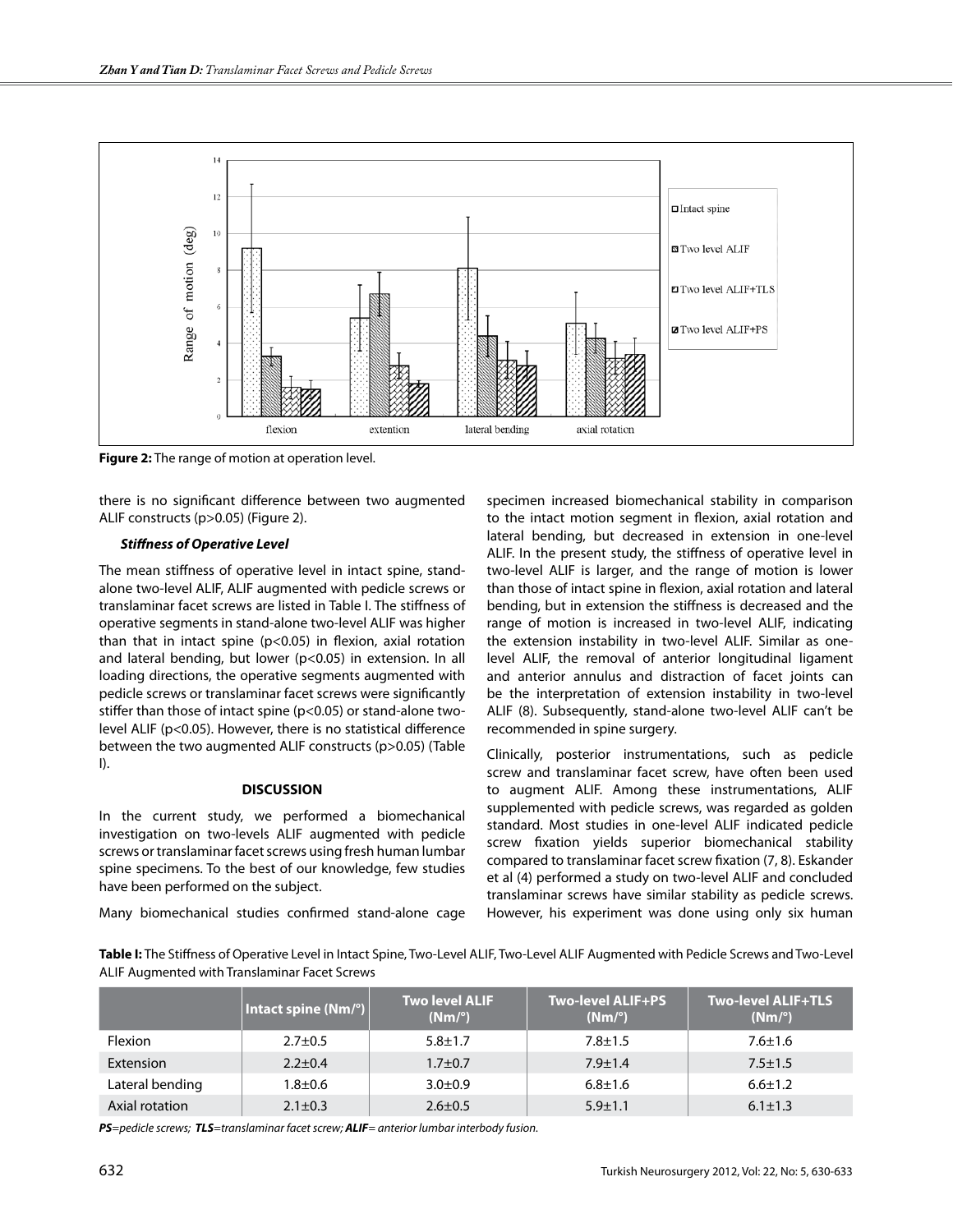

**Figure 2:** The range of motion at operation level.

there is no significant difference between two augmented ALIF constructs (p>0.05) (Figure 2).

#### *Stiffness of Operative Level*

The mean stiffness of operative level in intact spine, standalone two-level ALIF, ALIF augmented with pedicle screws or translaminar facet screws are listed in Table I. The stiffness of operative segments in stand-alone two-level ALIF was higher than that in intact spine ( $p$ <0.05) in flexion, axial rotation and lateral bending, but lower (p<0.05) in extension. In all loading directions, the operative segments augmented with pedicle screws or translaminar facet screws were significantly stiffer than those of intact spine (p<0.05) or stand-alone twolevel ALIF (p<0.05). However, there is no statistical difference between the two augmented ALIF constructs (p>0.05) (Table I).

#### **DISCUSSION**

In the current study, we performed a biomechanical investigation on two-levels ALIF augmented with pedicle screws or translaminar facet screws using fresh human lumbar spine specimens. To the best of our knowledge, few studies have been performed on the subject.

Many biomechanical studies confirmed stand-alone cage

specimen increased biomechanical stability in comparison to the intact motion segment in flexion, axial rotation and lateral bending, but decreased in extension in one-level ALIF. In the present study, the stiffness of operative level in two-level ALIF is larger, and the range of motion is lower than those of intact spine in flexion, axial rotation and lateral bending, but in extension the stiffness is decreased and the range of motion is increased in two-level ALIF, indicating the extension instability in two-level ALIF. Similar as onelevel ALIF, the removal of anterior longitudinal ligament and anterior annulus and distraction of facet joints can be the interpretation of extension instability in two-level ALIF (8). Subsequently, stand-alone two-level ALIF can't be recommended in spine surgery.

Clinically, posterior instrumentations, such as pedicle screw and translaminar facet screw, have often been used to augment ALIF. Among these instrumentations, ALIF supplemented with pedicle screws, was regarded as golden standard. Most studies in one-level ALIF indicated pedicle screw fixation yields superior biomechanical stability compared to translaminar facet screw fixation (7, 8). Eskander et al (4) performed a study on two-level ALIF and concluded translaminar screws have similar stability as pedicle screws. However, his experiment was done using only six human

**Table I:** The Stiffness of Operative Level in Intact Spine, Two-Level Alif, Two-Level Alif Augmented with Pedicle Screws and Two-Level Alif Augmented with Translaminar Facet Screws

|                 | $ \mathsf{Intract~spine}\left(\mathsf{Nm}/^\circ\right) $ | <b>Two level ALIF</b><br>$(Nm)^\circ$ | <b>Two-level ALIF+PS</b><br>$(Nm)^\circ$ | <b>Two-level ALIF+TLS</b><br>$(Nm)^\circ$ |
|-----------------|-----------------------------------------------------------|---------------------------------------|------------------------------------------|-------------------------------------------|
| Flexion         | $2.7 \pm 0.5$                                             | $5.8 \pm 1.7$                         | $7.8 + 1.5$                              | $7.6 \pm 1.6$                             |
| Extension       | $2.2 \pm 0.4$                                             | $1.7 + 0.7$                           | $7.9 \pm 1.4$                            | $7.5 \pm 1.5$                             |
| Lateral bending | $1.8 + 0.6$                                               | $3.0 \pm 0.9$                         | $6.8 \pm 1.6$                            | $6.6 \pm 1.2$                             |
| Axial rotation  | $2.1 \pm 0.3$                                             | $2.6 \pm 0.5$                         | $5.9 \pm 1.1$                            | $6.1 \pm 1.3$                             |

*PS=pedicle screws; TLS=translaminar facet screw; ALIF= anterior lumbar interbody fusion.*